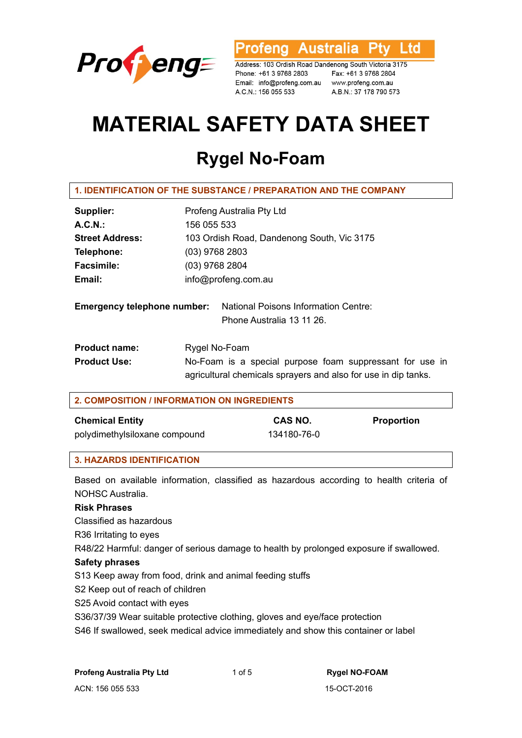

**Australia** L td 'otena

Address: 103 Ordish Road Dandenong South Victoria 3175 Phone: +61 3 9768 2803 Fax: +61 3 9768 2804<br>Email: info@profeng.com.au www.profeng.com.au A.C.N.: 156 055 533 A.B.N.: 37 178 790 573

# **MATERIAL SAFETY DATA SHEET**

# **Rygel No-Foam**

| 1. IDENTIFICATION OF THE SUBSTANCE / PREPARATION AND THE COMPANY |  |  |  |
|------------------------------------------------------------------|--|--|--|
|------------------------------------------------------------------|--|--|--|

| Supplier:                          | Profeng Australia Pty Ltd                   |  |
|------------------------------------|---------------------------------------------|--|
| A.C.N.                             | 156 055 533                                 |  |
| <b>Street Address:</b>             | 103 Ordish Road, Dandenong South, Vic 3175  |  |
| Telephone:                         | $(03)$ 9768 2803                            |  |
| <b>Facsimile:</b>                  | (03) 9768 2804                              |  |
| Email:                             | info@profeng.com.au                         |  |
|                                    |                                             |  |
| <b>Emergency telephone number:</b> | <b>National Poisons Information Centre:</b> |  |

Phone Australia 13 11 26.

| <b>Product name:</b> | Rygel No-Foam                                                  |  |
|----------------------|----------------------------------------------------------------|--|
| <b>Product Use:</b>  | No-Foam is a special purpose foam suppressant for use in       |  |
|                      | agricultural chemicals sprayers and also for use in dip tanks. |  |

# **2. COMPOSITION / INFORMATION ON INGREDIENTS**

#### **Chemical Entity CAS NO.** Proportion

polydimethylsiloxane compound 134180-76-0

# **3. HAZARDS IDENTIFICATION**

Based on available information, classified as hazardous according to health criteria of NOHSC Australia.

# **Risk Phrases**

Classified as hazardous

R36 Irritating to eyes

R48/22 Harmful: danger of serious damage to health by prolonged exposure if swallowed.

#### **Safety phrases**

S13 Keep away from food, drink and animal feeding stuffs

S2 Keep out of reach of children

S25 Avoid contact with eyes

S36/37/39 Wear suitable protective clothing, gloves and eye/face protection

S46 If swallowed, seek medical advice immediately and show this container or label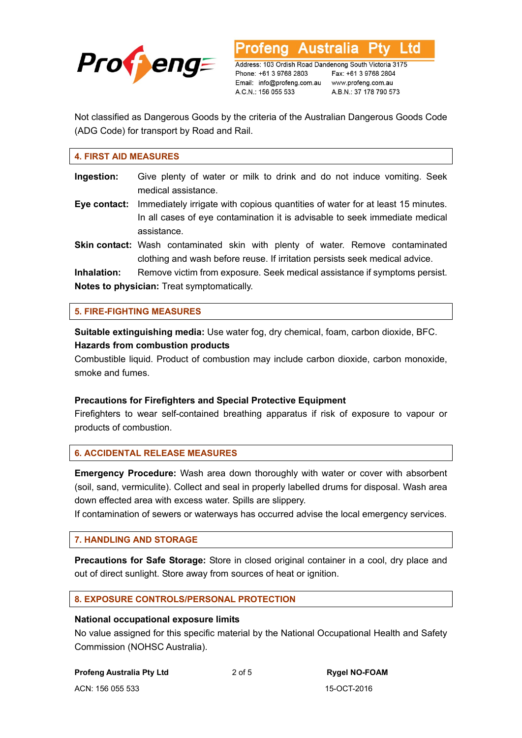

L td **Australia** 

Address: 103 Ordish Road Dandenong South Victoria 3175 Phone: +61 3 9768 2803 Email: info@profeng.com.au www.profeng.com.au A.C.N.: 156 055 533

Fax: +61 3 9768 2804 A.B.N.: 37 178 790 573

Not classified as Dangerous Goods by the criteria of the Australian Dangerous Goods Code (ADG Code) for transport by Road and Rail.

#### **4. FIRST AID MEASURES**

| Ingestion:                                        | Give plenty of water or milk to drink and do not induce vomiting. Seek<br>medical assistance.                                                                 |  |
|---------------------------------------------------|---------------------------------------------------------------------------------------------------------------------------------------------------------------|--|
| Eye contact:                                      | Immediately irrigate with copious quantities of water for at least 15 minutes.<br>In all cases of eye contamination it is advisable to seek immediate medical |  |
|                                                   | assistance.                                                                                                                                                   |  |
|                                                   | Skin contact: Wash contaminated skin with plenty of water. Remove contaminated<br>clothing and wash before reuse. If irritation persists seek medical advice. |  |
| Inhalation:                                       | Remove victim from exposure. Seek medical assistance if symptoms persist.                                                                                     |  |
| <b>Notes to physician:</b> Treat symptomatically. |                                                                                                                                                               |  |

**5. FIRE-FIGHTING MEASURES** 

**Suitable extinguishing media:** Use water fog, dry chemical, foam, carbon dioxide, BFC. **Hazards from combustion products** 

Combustible liquid. Product of combustion may include carbon dioxide, carbon monoxide, smoke and fumes.

#### **Precautions for Firefighters and Special Protective Equipment**

Firefighters to wear self-contained breathing apparatus if risk of exposure to vapour or products of combustion.

# **6. ACCIDENTAL RELEASE MEASURES**

**Emergency Procedure:** Wash area down thoroughly with water or cover with absorbent (soil, sand, vermiculite). Collect and seal in properly labelled drums for disposal. Wash area down effected area with excess water. Spills are slippery.

If contamination of sewers or waterways has occurred advise the local emergency services.

# **7. HANDLING AND STORAGE**

**Precautions for Safe Storage:** Store in closed original container in a cool, dry place and out of direct sunlight. Store away from sources of heat or ignition.

#### **8. EXPOSURE CONTROLS/PERSONAL PROTECTION**

#### **National occupational exposure limits**

No value assigned for this specific material by the National Occupational Health and Safety Commission (NOHSC Australia).

**Profeng Australia Pty Ltd**  $2$  of 5 **Rygel NO-FOAM**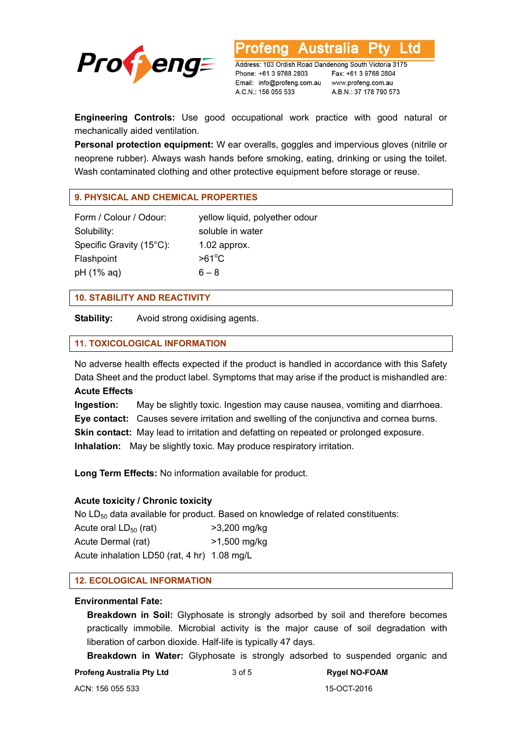

**Australia** Ltd

Address: 103 Ordish Road Dandenong South Victoria 3175 Phone: +61 3 9768 2803 Email: info@profeng.com.au www.profeng.com.au A.C.N.: 156 055 533

Fax: +61 3 9768 2804 A.B.N.: 37 178 790 573

**Engineering Controls:** Use good occupational work practice with good natural or mechanically aided ventilation.

**Personal protection equipment:** W ear overalls, goggles and impervious gloves (nitrile or neoprene rubber). Always wash hands before smoking, eating, drinking or using the toilet. Wash contaminated clothing and other protective equipment before storage or reuse.

#### **9. PHYSICAL AND CHEMICAL PROPERTIES**

Solubility: soluble in water Specific Gravity (15°C): 1.02 approx. Flashpoint pH (1% aq)  $6-8$ 

Form / Colour / Odour: yellow liquid, polyether odour  $>61^{\circ}$ C

#### **10. STABILITY AND REACTIVITY**

**Stability:** Avoid strong oxidising agents.

#### **11. TOXICOLOGICAL INFORMATION**

No adverse health effects expected if the product is handled in accordance with this Safety Data Sheet and the product label. Symptoms that may arise if the product is mishandled are:

# **Acute Effects**

**Ingestion:** May be slightly toxic. Ingestion may cause nausea, vomiting and diarrhoea. **Eye contact:** Causes severe irritation and swelling of the conjunctiva and cornea burns. **Skin contact:** May lead to irritation and defatting on repeated or prolonged exposure. **Inhalation:** May be slightly toxic. May produce respiratory irritation.

**Long Term Effects:** No information available for product.

#### **Acute toxicity / Chronic toxicity**

No  $LD_{50}$  data available for product. Based on knowledge of related constituents:

Acute oral  $LD_{50}$  (rat)  $>3,200$  mg/kg Acute Dermal (rat) >1,500 mg/kg Acute inhalation LD50 (rat, 4 hr) 1.08 mg/L

#### **12. ECOLOGICAL INFORMATION**

#### **Environmental Fate:**

**Breakdown in Soil:** Glyphosate is strongly adsorbed by soil and therefore becomes practically immobile. Microbial activity is the major cause of soil degradation with liberation of carbon dioxide. Half-life is typically 47 days.

**Breakdown in Water:** Glyphosate is strongly adsorbed to suspended organic and

**Profeng Australia Pty Ltd 3 of 5 Rygel NO-FOAM**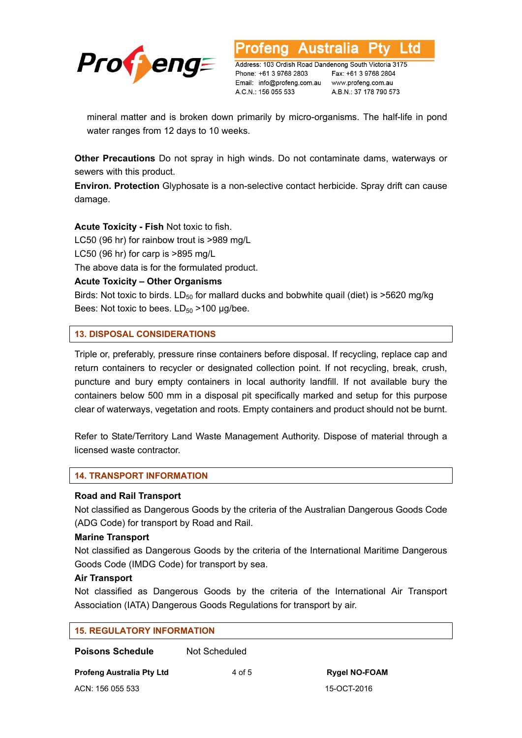

Address: 103 Ordish Road Dandenong South Victoria 3175 Phone: +61 3 9768 2803 Email: info@profeng.com.au www.profeng.com.au A.C.N.: 156 055 533

Fax: +61 3 9768 2804 A.B.N.: 37 178 790 573

.td

mineral matter and is broken down primarily by micro-organisms. The half-life in pond water ranges from 12 days to 10 weeks.

**Other Precautions** Do not spray in high winds. Do not contaminate dams, waterways or sewers with this product.

**Environ. Protection** Glyphosate is a non-selective contact herbicide. Spray drift can cause damage.

**Acute Toxicity - Fish** Not toxic to fish.

LC50 (96 hr) for rainbow trout is >989 mg/L

LC50 (96 hr) for carp is >895 mg/L

The above data is for the formulated product.

# **Acute Toxicity – Other Organisms**

Birds: Not toxic to birds.  $LD_{50}$  for mallard ducks and bobwhite quail (diet) is  $>5620$  mg/kg Bees: Not toxic to bees.  $LD_{50} > 100 \mu g/bee$ .

# **13. DISPOSAL CONSIDERATIONS**

Triple or, preferably, pressure rinse containers before disposal. If recycling, replace cap and return containers to recycler or designated collection point. If not recycling, break, crush, puncture and bury empty containers in local authority landfill. If not available bury the containers below 500 mm in a disposal pit specifically marked and setup for this purpose clear of waterways, vegetation and roots. Empty containers and product should not be burnt.

Refer to State/Territory Land Waste Management Authority. Dispose of material through a licensed waste contractor.

# **14. TRANSPORT INFORMATION**

# **Road and Rail Transport**

Not classified as Dangerous Goods by the criteria of the Australian Dangerous Goods Code (ADG Code) for transport by Road and Rail.

# **Marine Transport**

Not classified as Dangerous Goods by the criteria of the International Maritime Dangerous Goods Code (IMDG Code) for transport by sea.

# **Air Transport**

Not classified as Dangerous Goods by the criteria of the International Air Transport Association (IATA) Dangerous Goods Regulations for transport by air.

| <b>15. REGULATORY INFORMATION</b> |               |                      |  |  |
|-----------------------------------|---------------|----------------------|--|--|
| <b>Poisons Schedule</b>           | Not Scheduled |                      |  |  |
| <b>Profeng Australia Pty Ltd</b>  | 4 of 5        | <b>Rygel NO-FOAM</b> |  |  |

ACN: 156 055 533 15-OCT-2016